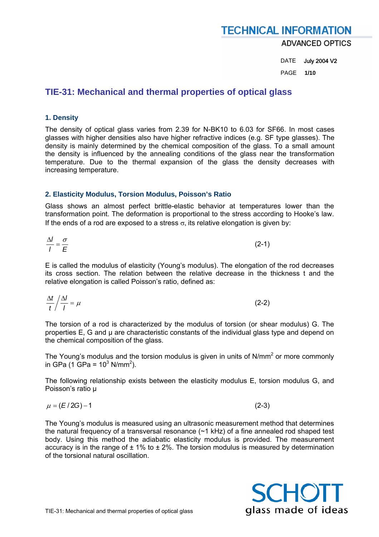**ADVANCED OPTICS** 

DATE July 2004 V2 PAGE **1/10** 

### **TIE-31: Mechanical and thermal properties of optical glass**

### **1. Density**

The density of optical glass varies from 2.39 for N-BK10 to 6.03 for SF66. In most cases glasses with higher densities also have higher refractive indices (e.g. SF type glasses). The density is mainly determined by the chemical composition of the glass. To a small amount the density is influenced by the annealing conditions of the glass near the transformation temperature. Due to the thermal expansion of the glass the density decreases with increasing temperature.

### **2. Elasticity Modulus, Torsion Modulus, Poisson's Ratio**

Glass shows an almost perfect brittle-elastic behavior at temperatures lower than the transformation point. The deformation is proportional to the stress according to Hooke's law. If the ends of a rod are exposed to a stress  $\sigma$ , its relative elongation is given by:

$$
\frac{\Delta l}{l} = \frac{\sigma}{E} \tag{2-1}
$$

E is called the modulus of elasticity (Young's modulus). The elongation of the rod decreases its cross section. The relation between the relative decrease in the thickness t and the relative elongation is called Poisson's ratio, defined as:

$$
\frac{\Delta t}{t} / \frac{\Delta l}{l} = \mu \tag{2-2}
$$

The torsion of a rod is characterized by the modulus of torsion (or shear modulus) G. The properties E, G and µ are characteristic constants of the individual glass type and depend on the chemical composition of the glass.

The Young's modulus and the torsion modulus is given in units of  $N/mm^2$  or more commonly in GPa (1 GPa =  $10^3$  N/mm<sup>2</sup>).

The following relationship exists between the elasticity modulus E, torsion modulus G, and Poisson's ratio µ

$$
\mu = (E/2G) - 1 \tag{2-3}
$$

The Young's modulus is measured using an ultrasonic measurement method that determines the natural frequency of a transversal resonance  $(\sim 1 \text{ kHz})$  of a fine annealed rod shaped test body. Using this method the adiabatic elasticity modulus is provided. The measurement accuracy is in the range of  $\pm 1\%$  to  $\pm 2\%$ . The torsion modulus is measured by determination of the torsional natural oscillation.

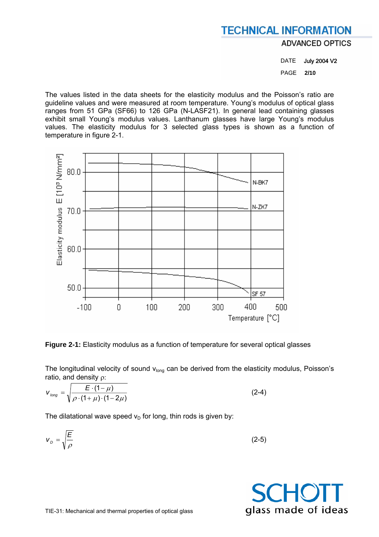**ADVANCED OPTICS** 

DATE July 2004 V2 PAGE **2/10** 

The values listed in the data sheets for the elasticity modulus and the Poisson's ratio are guideline values and were measured at room temperature. Young's modulus of optical glass ranges from 51 GPa (SF66) to 126 GPa (N-LASF21). In general lead containing glasses exhibit small Young's modulus values. Lanthanum glasses have large Young's modulus values. The elasticity modulus for 3 selected glass types is shown as a function of temperature in figure 2-1.



**Figure 2-1:** Elasticity modulus as a function of temperature for several optical glasses

The longitudinal velocity of sound  $v<sub>lonq</sub>$  can be derived from the elasticity modulus, Poisson's ratio, and density ρ:

$$
V_{long} = \sqrt{\frac{E \cdot (1 - \mu)}{\rho \cdot (1 + \mu) \cdot (1 - 2\mu)}}
$$
 (2-4)

The dilatational wave speed  $v<sub>D</sub>$  for long, thin rods is given by:

$$
V_D = \sqrt{\frac{E}{\rho}}
$$
 (2-5)

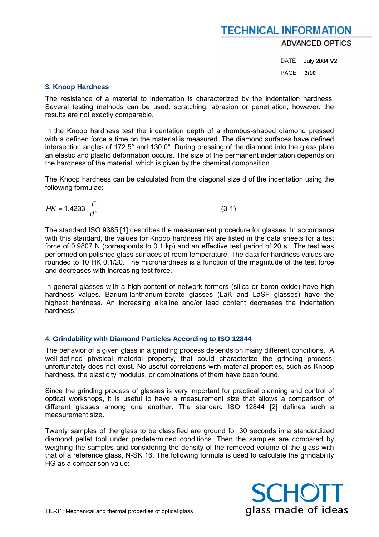### **TECHNICAL INFORMATION ADVANCED OPTICS**

DATE July 2004 V2 PAGE **3/10** 

#### **3. Knoop Hardness**

The resistance of a material to indentation is characterized by the indentation hardness. Several testing methods can be used: scratching, abrasion or penetration; however, the results are not exactly comparable.

In the Knoop hardness test the indentation depth of a rhombus-shaped diamond pressed with a defined force a time on the material is measured. The diamond surfaces have defined intersection angles of 172.5° and 130.0°. During pressing of the diamond into the glass plate an elastic and plastic deformation occurs. The size of the permanent indentation depends on the hardness of the material, which is given by the chemical composition.

The Knoop hardness can be calculated from the diagonal size d of the indentation using the following formulae:

$$
HK = 1.4233 \cdot \frac{F}{d^2} \tag{3-1}
$$

The standard ISO 9385 [1] describes the measurement procedure for glasses. In accordance with this standard, the values for Knoop hardness HK are listed in the data sheets for a test force of 0.9807 N (corresponds to 0.1 kp) and an effective test period of 20 s. The test was performed on polished glass surfaces at room temperature. The data for hardness values are rounded to 10 HK 0.1/20. The microhardness is a function of the magnitude of the test force and decreases with increasing test force.

In general glasses with a high content of network formers (silica or boron oxide) have high hardness values. Barium-lanthanum-borate glasses (LaK and LaSF glasses) have the highest hardness. An increasing alkaline and/or lead content decreases the indentation hardness.

### **4. Grindability with Diamond Particles According to ISO 12844**

The behavior of a given glass in a grinding process depends on many different conditions. A well-defined physical material property, that could characterize the grinding process, unfortunately does not exist. No useful correlations with material properties, such as Knoop hardness, the elasticity modulus, or combinations of them have been found.

Since the grinding process of glasses is very important for practical planning and control of optical workshops, it is useful to have a measurement size that allows a comparison of different glasses among one another. The standard ISO 12844 [2] defines such a measurement size.

Twenty samples of the glass to be classified are ground for 30 seconds in a standardized diamond pellet tool under predetermined conditions. Then the samples are compared by weighing the samples and considering the density of the removed volume of the glass with that of a reference glass, N-SK 16. The following formula is used to calculate the grindability HG as a comparison value:

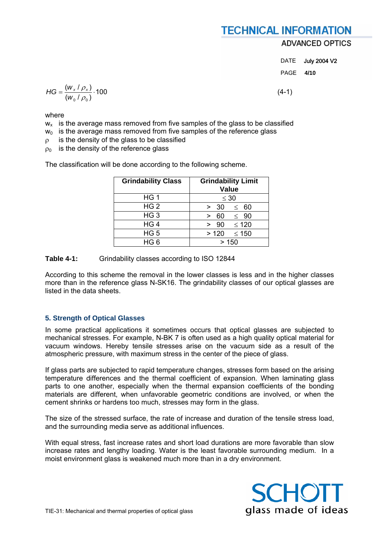### **ADVANCED OPTICS**

| DATE | <b>July 2004 V2</b> |
|------|---------------------|
| PAGE | 4/10                |

$$
HG = \frac{(w_x / \rho_x)}{(w_0 / \rho_0)} \cdot 100
$$
 (4-1)

where

 $w_x$  is the average mass removed from five samples of the glass to be classified

- $w_0$  is the average mass removed from five samples of the reference glass
- $\rho$  is the density of the glass to be classified

 $\rho_0$  is the density of the reference glass

The classification will be done according to the following scheme.

| <b>Grindability Class</b> | <b>Grindability Limit</b><br>Value |  |  |
|---------------------------|------------------------------------|--|--|
| HG <sub>1</sub>           | $\leq 30$                          |  |  |
| HG <sub>2</sub>           | > 30<br>$\leq 60$                  |  |  |
| HG <sub>3</sub>           | 60<br>$\leq$ 90<br>$\geq$          |  |  |
| HG <sub>4</sub>           | > 90<br>$\leq 120$                 |  |  |
| HG <sub>5</sub>           | >120<br>$\leq 150$                 |  |  |
| HG <sub>6</sub>           | >150                               |  |  |

**Table 4-1:** Grindability classes according to ISO 12844

According to this scheme the removal in the lower classes is less and in the higher classes more than in the reference glass N-SK16. The grindability classes of our optical glasses are listed in the data sheets.

### **5. Strength of Optical Glasses**

In some practical applications it sometimes occurs that optical glasses are subjected to mechanical stresses. For example, N-BK 7 is often used as a high quality optical material for vacuum windows. Hereby tensile stresses arise on the vacuum side as a result of the atmospheric pressure, with maximum stress in the center of the piece of glass.

If glass parts are subjected to rapid temperature changes, stresses form based on the arising temperature differences and the thermal coefficient of expansion. When laminating glass parts to one another, especially when the thermal expansion coefficients of the bonding materials are different, when unfavorable geometric conditions are involved, or when the cement shrinks or hardens too much, stresses may form in the glass.

The size of the stressed surface, the rate of increase and duration of the tensile stress load, and the surrounding media serve as additional influences.

With equal stress, fast increase rates and short load durations are more favorable than slow increase rates and lengthy loading. Water is the least favorable surrounding medium. In a moist environment glass is weakened much more than in a dry environment.

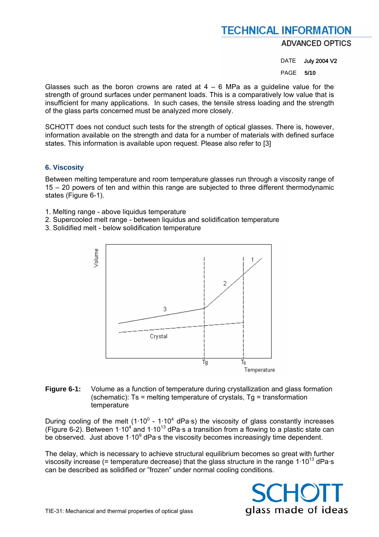**ADVANCED OPTICS** 

DATE July 2004 V2

PAGE **5/10** 

Glasses such as the boron crowns are rated at  $4 - 6$  MPa as a guideline value for the strength of ground surfaces under permanent loads. This is a comparatively low value that is insufficient for many applications. In such cases, the tensile stress loading and the strength of the glass parts concerned must be analyzed more closely.

SCHOTT does not conduct such tests for the strength of optical glasses. There is, however, information available on the strength and data for a number of materials with defined surface states. This information is available upon request. Please also refer to [3]

### **6. Viscosity**

Between melting temperature and room temperature glasses run through a viscosity range of 15 – 20 powers of ten and within this range are subjected to three different thermodynamic states (Figure 6-1).

- 1. Melting range above liquidus temperature
- 2. Supercooled melt range between liquidus and solidification temperature
- 3. Solidified melt below solidification temperature



#### **Figure 6-1:** Volume as a function of temperature during crystallization and glass formation (schematic):  $Ts =$  melting temperature of crystals,  $Tg =$  transformation temperature

During cooling of the melt (1 $\cdot$ 10<sup>0</sup> - 1 $\cdot$ 10<sup>4</sup> dPa $\cdot$ s) the viscosity of glass constantly increases (Figure 6-2). Between 1 $\cdot$ 10<sup>4</sup> and 1 $\cdot$ 10<sup>13</sup> dPa $\cdot$ s a transition from a flowing to a plastic state can be observed. Just above  $1.10^9$  dPa s the viscosity becomes increasingly time dependent.

The delay, which is necessary to achieve structural equilibrium becomes so great with further viscosity increase (= temperature decrease) that the glass structure in the range  $1.10^{13}$  dPa·s can be described as solidified or "frozen" under normal cooling conditions.

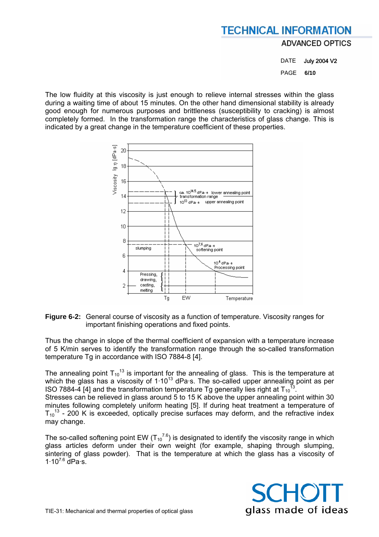**ADVANCED OPTICS** 

DATE July 2004 V2 PAGE **6/10** 

The low fluidity at this viscosity is just enough to relieve internal stresses within the glass during a waiting time of about 15 minutes. On the other hand dimensional stability is already good enough for numerous purposes and brittleness (susceptibility to cracking) is almost completely formed. In the transformation range the characteristics of glass change. This is indicated by a great change in the temperature coefficient of these properties.



**Figure 6-2:** General course of viscosity as a function of temperature. Viscosity ranges for important finishing operations and fixed points.

Thus the change in slope of the thermal coefficient of expansion with a temperature increase of 5 K/min serves to identify the transformation range through the so-called transformation temperature Tg in accordance with ISO 7884-8 [4].

The annealing point  $T_{10}$ <sup>13</sup> is important for the annealing of glass. This is the temperature at which the glass has a viscosity of  $1.10^{13}$  dPa·s. The so-called upper annealing point as per ISO 7884-4 [4] and the transformation temperature Tg generally lies right at  $T_{10}^{13}$ . Stresses can be relieved in glass around 5 to 15 K above the upper annealing point within 30 minutes following completely uniform heating [5]. If during heat treatment a temperature of  $T_{10}$ <sup>13</sup> - 200 K is exceeded, optically precise surfaces may deform, and the refractive index may change.

The so-called softening point EW ( $T_{10}^{7.6}$ ) is designated to identify the viscosity range in which glass articles deform under their own weight (for example, shaping through slumping, sintering of glass powder). That is the temperature at which the glass has a viscosity of  $1.10^{7.6}$  dPa $\cdot$ s.

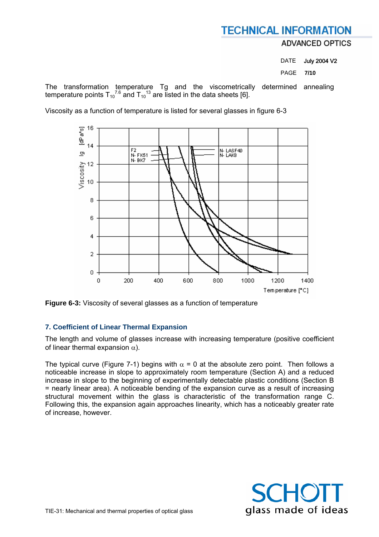### **ADVANCED OPTICS**

DATE July 2004 V2 PAGE **7/10** 

The transformation temperature Tg and the viscometrically determined annealing temperature points  $T_{10}^{7.6}$  and  $T_{10}^{13}$  are listed in the data sheets [6].

Viscosity as a function of temperature is listed for several glasses in figure 6-3



**Figure 6-3:** Viscosity of several glasses as a function of temperature

### **7. Coefficient of Linear Thermal Expansion**

The length and volume of glasses increase with increasing temperature (positive coefficient of linear thermal expansion  $\alpha$ ).

The typical curve (Figure 7-1) begins with  $\alpha = 0$  at the absolute zero point. Then follows a noticeable increase in slope to approximately room temperature (Section A) and a reduced increase in slope to the beginning of experimentally detectable plastic conditions (Section B = nearly linear area). A noticeable bending of the expansion curve as a result of increasing structural movement within the glass is characteristic of the transformation range C. Following this, the expansion again approaches linearity, which has a noticeably greater rate of increase, however.

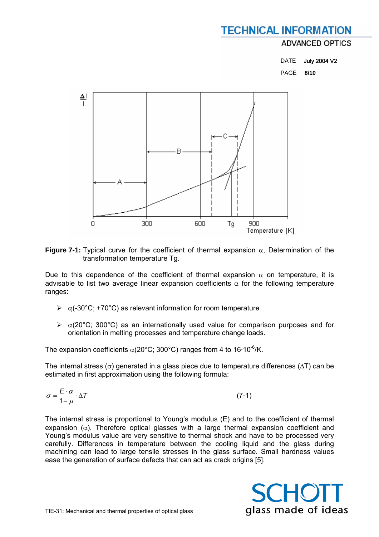### **ADVANCED OPTICS**

| DATE             | <b>July 2004 V2</b> |
|------------------|---------------------|
| <b>PAGE 8/10</b> |                     |



**Figure 7-1:** Typical curve for the coefficient of thermal expansion  $\alpha$ . Determination of the transformation temperature Tg.

Due to this dependence of the coefficient of thermal expansion  $\alpha$  on temperature, it is advisable to list two average linear expansion coefficients  $\alpha$  for the following temperature ranges:

- $\triangleright$   $\alpha$ (-30°C; +70°C) as relevant information for room temperature
- $\triangleright$   $\alpha$ (20°C; 300°C) as an internationally used value for comparison purposes and for orientation in melting processes and temperature change loads.

The expansion coefficients  $\alpha$ (20°C; 300°C) ranges from 4 to 16·10<sup>-6</sup>/K.

The internal stress ( $\sigma$ ) generated in a glass piece due to temperature differences ( $\Delta T$ ) can be estimated in first approximation using the following formula:

$$
\sigma = \frac{E \cdot \alpha}{1 - \mu} \cdot \Delta T \tag{7-1}
$$

The internal stress is proportional to Young's modulus (E) and to the coefficient of thermal expansion  $(\alpha)$ . Therefore optical glasses with a large thermal expansion coefficient and Young's modulus value are very sensitive to thermal shock and have to be processed very carefully. Differences in temperature between the cooling liquid and the glass during machining can lead to large tensile stresses in the glass surface. Small hardness values ease the generation of surface defects that can act as crack origins [5].

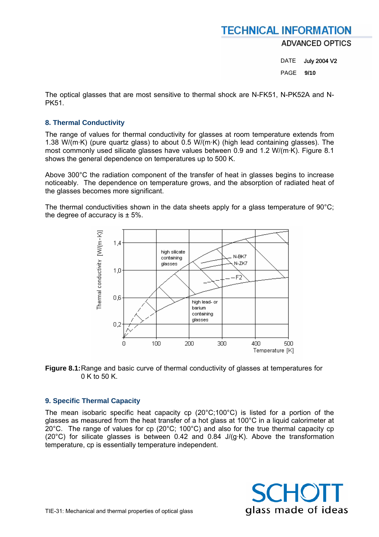**ADVANCED OPTICS** 

DATE July 2004 V2 PAGE **9/10** 

The optical glasses that are most sensitive to thermal shock are N-FK51, N-PK52A and N-**PK51** 

### **8. Thermal Conductivity**

The range of values for thermal conductivity for glasses at room temperature extends from 1.38 W/(m·K) (pure quartz glass) to about 0.5 W/(m·K) (high lead containing glasses). The most commonly used silicate glasses have values between 0.9 and 1.2 W/(m·K). Figure 8.1 shows the general dependence on temperatures up to 500 K.

Above 300°C the radiation component of the transfer of heat in glasses begins to increase noticeably. The dependence on temperature grows, and the absorption of radiated heat of the glasses becomes more significant.

The thermal conductivities shown in the data sheets apply for a glass temperature of  $90^{\circ}$ C; the degree of accuracy is  $\pm$  5%.



**Figure 8.1:** Range and basic curve of thermal conductivity of glasses at temperatures for 0 K to 50 K.

### **9. Specific Thermal Capacity**

The mean isobaric specific heat capacity cp (20°C;100°C) is listed for a portion of the glasses as measured from the heat transfer of a hot glass at 100°C in a liquid calorimeter at 20°C. The range of values for cp (20°C; 100°C) and also for the true thermal capacity cp (20 $^{\circ}$ C) for silicate glasses is between 0.42 and 0.84 J/(g·K). Above the transformation temperature, cp is essentially temperature independent.